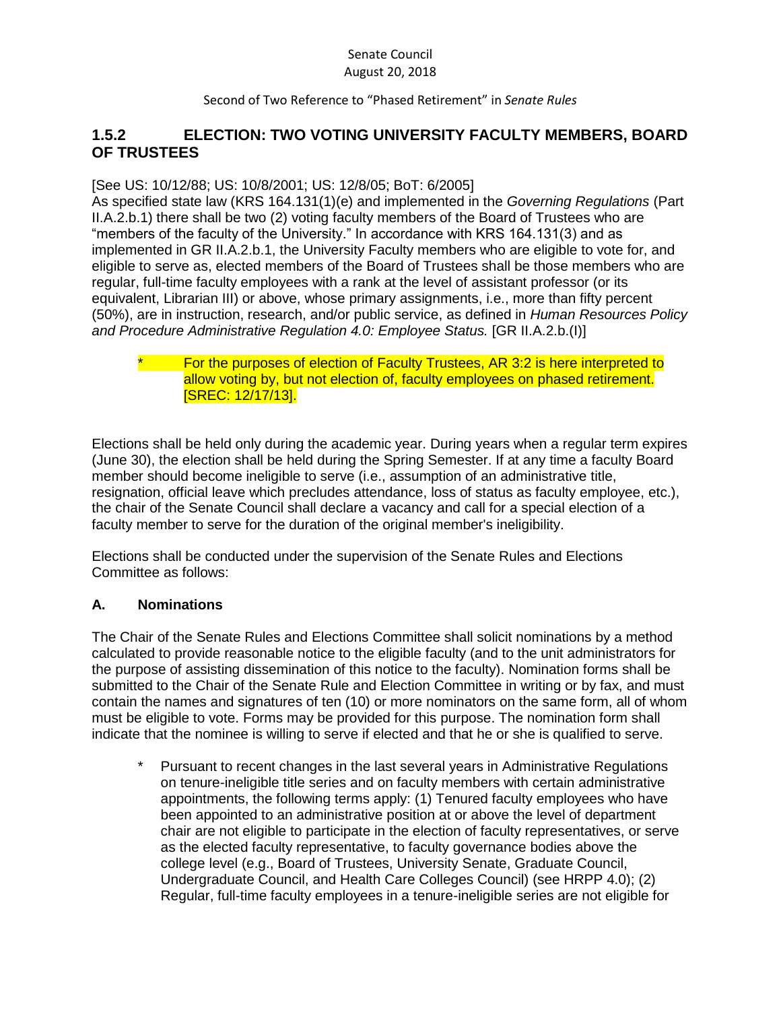Second of Two Reference to "Phased Retirement" in *Senate Rules*

# **1.5.2 ELECTION: TWO VOTING UNIVERSITY FACULTY MEMBERS, BOARD OF TRUSTEES**

#### [See US: 10/12/88; US: 10/8/2001; US: 12/8/05; BoT: 6/2005]

As specified state law (KRS 164.131(1)(e) and implemented in the *Governing Regulations* (Part II.A.2.b.1) there shall be two (2) voting faculty members of the Board of Trustees who are "members of the faculty of the University." In accordance with KRS 164.131(3) and as implemented in GR II.A.2.b.1, the University Faculty members who are eligible to vote for, and eligible to serve as, elected members of the Board of Trustees shall be those members who are regular, full-time faculty employees with a rank at the level of assistant professor (or its equivalent, Librarian III) or above, whose primary assignments, i.e., more than fifty percent (50%), are in instruction, research, and/or public service, as defined in *Human Resources Policy and Procedure Administrative Regulation 4.0: Employee Status.* [GR II.A.2.b.(I)]

#### \* For the purposes of election of Faculty Trustees, AR 3:2 is here interpreted to allow voting by, but not election of, faculty employees on phased retirement. [SREC: 12/17/13].

Elections shall be held only during the academic year. During years when a regular term expires (June 30), the election shall be held during the Spring Semester. If at any time a faculty Board member should become ineligible to serve (i.e., assumption of an administrative title, resignation, official leave which precludes attendance, loss of status as faculty employee, etc.), the chair of the Senate Council shall declare a vacancy and call for a special election of a faculty member to serve for the duration of the original member's ineligibility.

Elections shall be conducted under the supervision of the Senate Rules and Elections Committee as follows:

## **A. Nominations**

The Chair of the Senate Rules and Elections Committee shall solicit nominations by a method calculated to provide reasonable notice to the eligible faculty (and to the unit administrators for the purpose of assisting dissemination of this notice to the faculty). Nomination forms shall be submitted to the Chair of the Senate Rule and Election Committee in writing or by fax, and must contain the names and signatures of ten (10) or more nominators on the same form, all of whom must be eligible to vote. Forms may be provided for this purpose. The nomination form shall indicate that the nominee is willing to serve if elected and that he or she is qualified to serve.

\* Pursuant to recent changes in the last several years in Administrative Regulations on tenure-ineligible title series and on faculty members with certain administrative appointments, the following terms apply: (1) Tenured faculty employees who have been appointed to an administrative position at or above the level of department chair are not eligible to participate in the election of faculty representatives, or serve as the elected faculty representative, to faculty governance bodies above the college level (e.g., Board of Trustees, University Senate, Graduate Council, Undergraduate Council, and Health Care Colleges Council) (see HRPP 4.0); (2) Regular, full-time faculty employees in a tenure-ineligible series are not eligible for